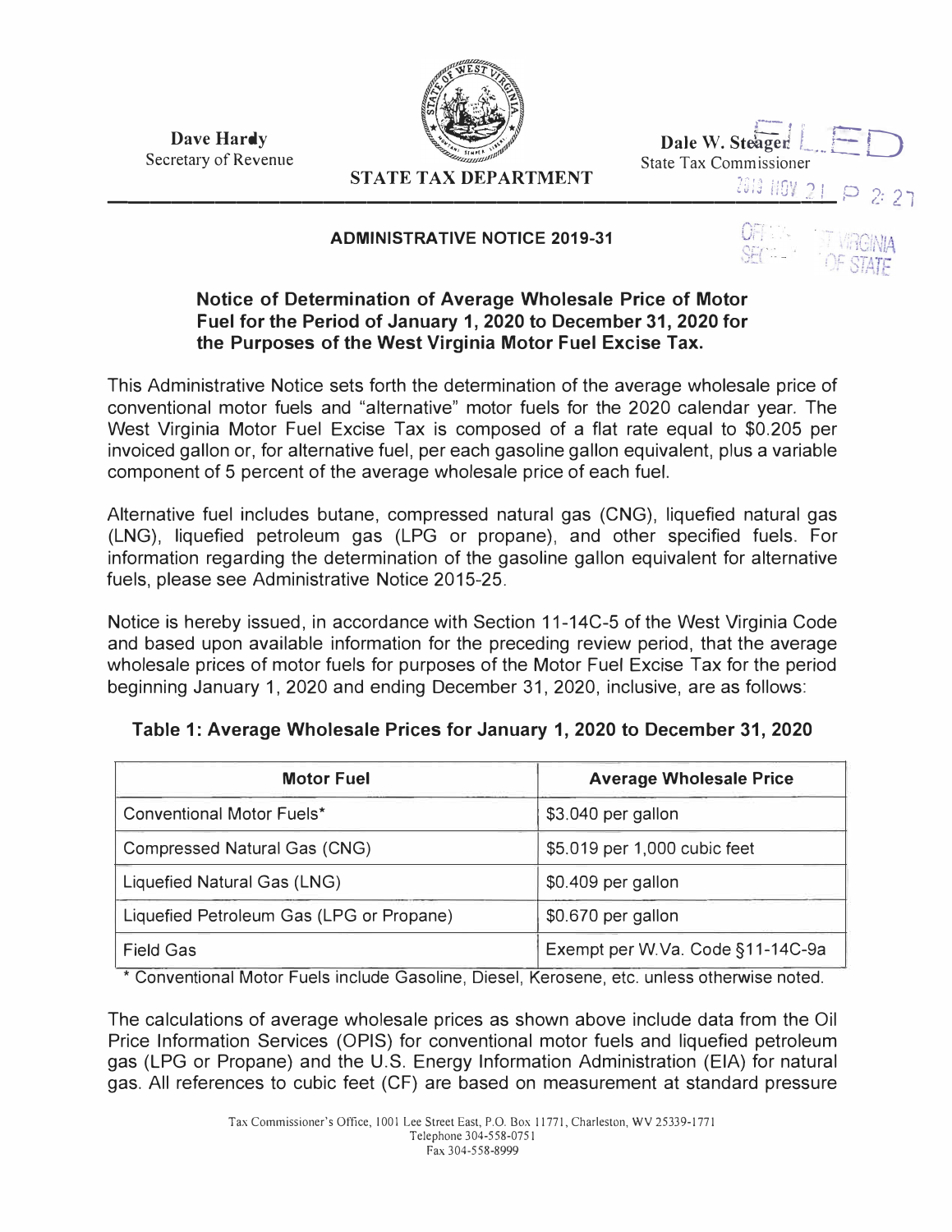**Dave Hardy**  Secretary of Revenue



.--, i' **Dale W. Steager** 

*zc:; uo�1* "1, o '1� ?

### **STATE TAX DEPARTMENT**

--------------------------------�

#### **ADMINISTRATIVE NOTICE 2019-31**



 $-$ 

## **Notice of Determination of Average Wholesale Price of Motor Fuel for the Period of January 1, 2020 to December 31, 2020 for the Purposes of the West Virginia Motor Fuel Excise Tax.**

This Administrative Notice sets forth the determination of the average wholesale price of conventional motor fuels and "alternative" motor fuels for the 2020 calendar year. The West Virginia Motor Fuel Excise Tax is composed of a flat rate equal to \$0.205 per invoiced gallon or, for alternative fuel, per each gasoline gallon equivalent, plus a variable component of 5 percent of the average wholesale price of each fuel.

Alternative fuel includes butane, compressed natural gas (CNG), liquefied natural gas (LNG), liquefied petroleum gas (LPG or propane), and other specified fuels. For information regarding the determination of the gasoline gallon equivalent for alternative fuels, please see Administrative Notice 2015-25.

Notice is hereby issued, in accordance with Section 11-14C-5 of the West Virginia Code and based upon available information for the preceding review period, that the average wholesale prices of motor fuels for purposes of the Motor Fuel Excise Tax for the period beginning January 1, 2020 and ending December 31, 2020, inclusive, are as follows:

| <b>Motor Fuel</b>                        | <b>Average Wholesale Price</b>   |  |
|------------------------------------------|----------------------------------|--|
| <b>Conventional Motor Fuels*</b>         | \$3.040 per gallon               |  |
| Compressed Natural Gas (CNG)             | \$5.019 per 1,000 cubic feet     |  |
| Liquefied Natural Gas (LNG)              | \$0.409 per gallon               |  |
| Liquefied Petroleum Gas (LPG or Propane) | \$0.670 per gallon               |  |
| <b>Field Gas</b>                         | Exempt per W.Va. Code §11-14C-9a |  |

# **Table 1: Average Wholesale Prices for January 1, 2020 to December 31, 2020**

\* Conventional Motor Fuels include Gasoline, Diesel, Kerosene, etc. unless otherwise noted.

The calculations of average wholesale prices as shown above include data from the Oil Price Information Services (OPIS) for conventional motor fuels and liquefied petroleum gas (LPG or Propane) and the U.S. Energy Information Administration (EIA) for natural gas. All references to cubic feet (CF) are based on measurement at standard pressure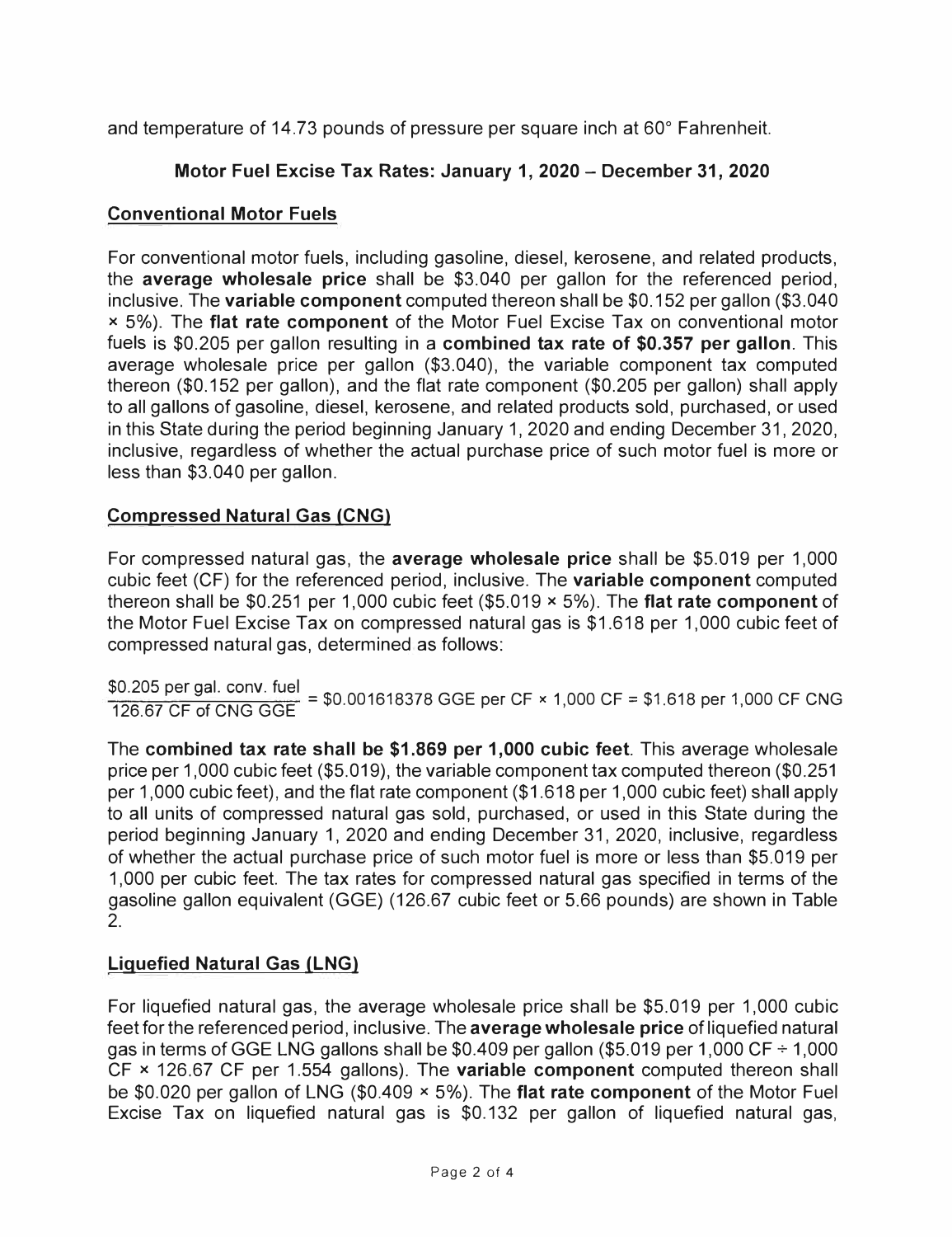and temperature of 14.73 pounds of pressure per square inch at 60° Fahrenheit.

## **Motor Fuel Excise Tax Rates: January 1, 2020 - December 31, 2020**

## **Conventional Motor Fuels**

For conventional motor fuels, including gasoline, diesel, kerosene, and related products, the **average wholesale price** shall be \$3.040 per gallon for the referenced period, inclusive. The **variable component** computed thereon shall be \$0.152 per gallon (\$3.040 **x** 5%). The **flat rate component** of the Motor Fuel Excise Tax on conventional motor fuels is \$0.205 per gallon resulting in a **combined tax rate of \$0.357 per gallon.** This average wholesale price per gallon (\$3.040), the variable component tax computed thereon (\$0.152 per gallon), and the flat rate component (\$0.205 per gallon) shall apply to all gallons of gasoline, diesel, kerosene, and related products sold, purchased, or used in this State during the period beginning January 1, 2020 and ending December 31, 2020, inclusive, regardless of whether the actual purchase price of such motor fuel is more or less than \$3.040 per gallon.

## **Compressed Natural Gas (CNG)**

For compressed natural gas, the **average wholesale price** shall be \$5.019 per 1,000 cubic feet (CF) for the referenced period, inclusive. The **variable component** computed thereon shall be \$0.251 per 1,000 cubic feet (\$5.019 **x** 5%). The **flat rate component** of the Motor Fuel Excise Tax on compressed natural gas is \$1.618 per 1,000 cubic feet of compressed natural gas, determined as follows:

\$0.205 per gal. conv. fuel

126\_67 CF of CNG GGE = \$0.001618378 GGE per CF **x** 1,000 CF= \$1.618 per 1,000 CF CNG

The **combined tax rate shall be \$1.869 per 1,000 cubic feet.** This average wholesale price per 1,000 cubic feet (\$5.019), the variable component tax computed thereon (\$0.251 per 1,000 cubic feet), and the flat rate component (\$1.618 per 1,000 cubic feet) shall apply to all units of compressed natural gas sold, purchased, or used in this State during the period beginning January 1, 2020 and ending December 31, 2020, inclusive, regardless of whether the actual purchase price of such motor fuel is more or less than \$5.019 per 1,000 per cubic feet. The tax rates for compressed natural gas specified in terms of the gasoline gallon equivalent (GGE) (126.67 cubic feet or 5.66 pounds) are shown in Table 2.

# **Liquefied Natural Gas (LNG)**

For liquefied natural gas, the average wholesale price shall be \$5.019 per 1,000 cubic feet for the referenced period, inclusive. The **average wholesale price** of liquefied natural gas in terms of GGE LNG gallons shall be \$0.409 per gallon (\$5.019 per 1,000 CF  $\div$  1,000 CF **x** 126.67 CF per 1.554 gallons). The **variable component** computed thereon shall be \$0.020 per gallon of LNG (\$0.409 **x** 5%). The **flat rate component** of the Motor Fuel Excise Tax on liquefied natural gas is \$0.132 per gallon of liquefied natural gas,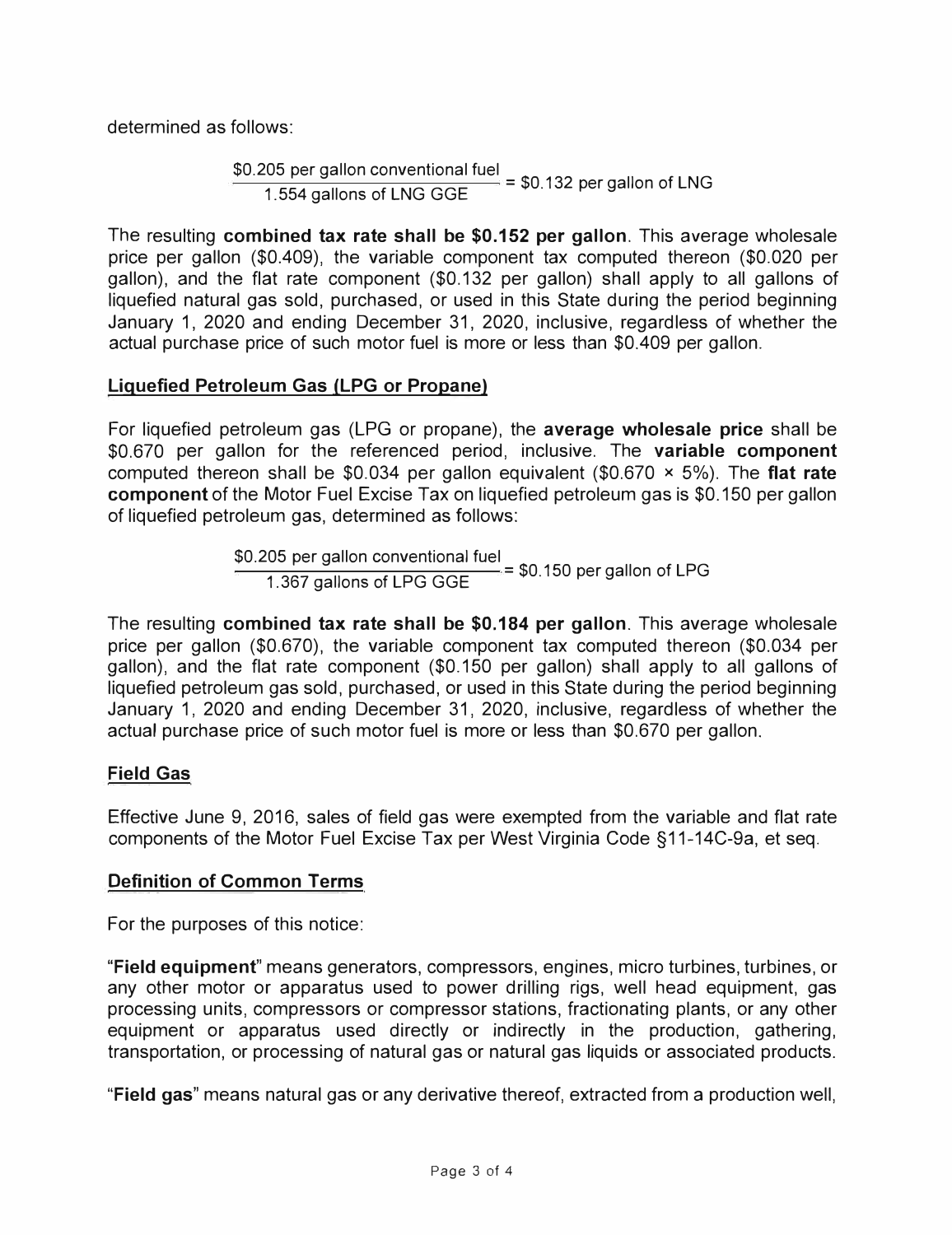determined as follows:

\$0.205 per gallon conventional fuel  $1.554$  gallons of LNG GGE = \$0.132 per gallon of LNG

The resulting **combined tax rate shall be \$0.152 per gallon.** This average wholesale price per gallon (\$0.409), the variable component tax computed thereon (\$0.020 per gallon), and the flat rate component (\$0.132 per gallon) shall apply to all gallons of liquefied natural gas sold, purchased, or used in this State during the period beginning January 1, 2020 and ending December 31, 2020, inclusive, regardless of whether the actual purchase price of such motor fuel is more or less than \$0.409 per gallon.

## **Liquefied Petroleum Gas (LPG or Propane)**

For liquefied petroleum gas (LPG or propane), the **average wholesale price** shall be \$0.670 per gallon for the referenced period, inclusive. The **variable component**  computed thereon shall be \$0.034 per gallon equivalent (\$0.670 **x** 5%). The **flat rate component** of the Motor Fuel Excise Tax on liquefied petroleum gas is \$0.150 per gallon of liquefied petroleum gas, determined as follows:

> \$0.205 per gallon conventional fuel  $1.367$  gallons of LPG GGE = \$0.150 per gallon of LPG

The resulting **combined tax rate shall be \$0.184 per gallon.** This average wholesale price per gallon (\$0.670), the variable component tax computed thereon (\$0.034 per gallon), and the flat rate component (\$0.150 per gallon) shall apply to all gallons of liquefied petroleum gas sold, purchased, or used in this State during the period beginning January 1, 2020 and ending December 31, 2020, inclusive, regardless of whether the actual purchase price of such motor fuel is more or less than \$0.670 per gallon.

## **Field Gas**

Effective June 9, 2016, sales of field gas were exempted from the variable and flat rate components of the Motor Fuel Excise Tax per West Virginia Code §11-14C-9a, et seq.

#### **Definition of Common Terms**

For the purposes of this notice:

**"Field equipment"** means generators, compressors, engines, micro turbines, turbines, or any other motor or apparatus used to power drilling rigs, well head equipment, gas processing units, compressors or compressor stations, fractionating plants, or any other equipment or apparatus used directly or indirectly in the production, gathering, transportation, or processing of natural gas or natural gas liquids or associated products.

**"Field gas"** means natural gas or any derivative thereof, extracted from a production well,